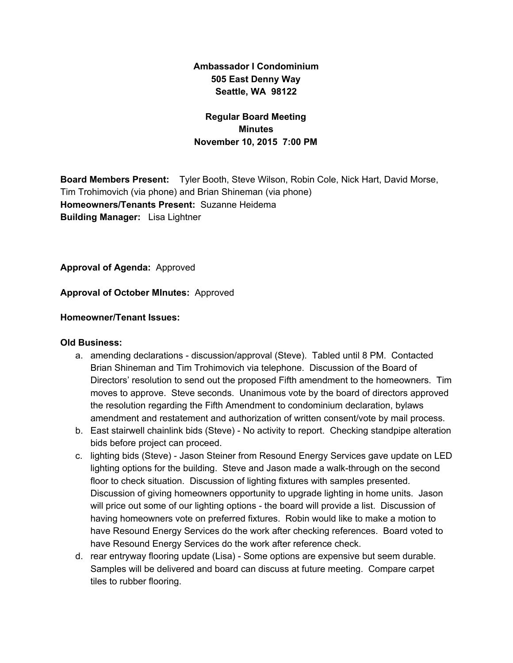# **Ambassador I Condominium 505 East Denny Way Seattle, WA 98122**

## **Regular Board Meeting Minutes November 10, 2015 7:00 PM**

**Board Members Present:** Tyler Booth, Steve Wilson, Robin Cole, Nick Hart, David Morse, Tim Trohimovich (via phone) and Brian Shineman (via phone) **Homeowners/Tenants Present:** Suzanne Heidema **Building Manager:** Lisa Lightner

**Approval of Agenda:** Approved

**Approval of October MInutes:** Approved

### **Homeowner/Tenant Issues:**

#### **Old Business:**

- a. amending declarations discussion/approval (Steve). Tabled until 8 PM. Contacted Brian Shineman and Tim Trohimovich via telephone. Discussion of the Board of Directors' resolution to send out the proposed Fifth amendment to the homeowners. Tim moves to approve. Steve seconds. Unanimous vote by the board of directors approved the resolution regarding the Fifth Amendment to condominium declaration, bylaws amendment and restatement and authorization of written consent/vote by mail process.
- b. East stairwell chainlink bids (Steve) No activity to report. Checking standpipe alteration bids before project can proceed.
- c. lighting bids (Steve) Jason Steiner from Resound Energy Services gave update on LED lighting options for the building. Steve and Jason made a walk-through on the second floor to check situation. Discussion of lighting fixtures with samples presented. Discussion of giving homeowners opportunity to upgrade lighting in home units. Jason will price out some of our lighting options - the board will provide a list. Discussion of having homeowners vote on preferred fixtures. Robin would like to make a motion to have Resound Energy Services do the work after checking references. Board voted to have Resound Energy Services do the work after reference check.
- d. rear entryway flooring update (Lisa) Some options are expensive but seem durable. Samples will be delivered and board can discuss at future meeting. Compare carpet tiles to rubber flooring.